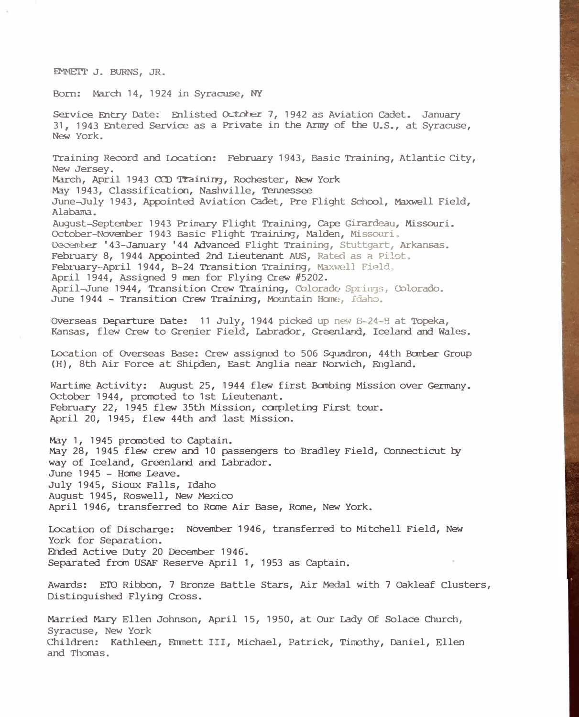EMMETT J. BURNS, JR.

Born: March 14, 1924 in Syracuse, **NY** 

Service Entry Date: Enlisted October 7, 1942 as Aviation Cadet. January 31, 1943 Entered Service as a Private in the Army of the U.S., at Syracuse, New York. Training Record and Location: February 1943, Basic Training, Atlantic City, New Jersey. March, April 1943 CCD Training, Rochester, New York May 1943, Classification, Nashville, Tennessee June-July 1943, Appointed Aviation Cadet, Pre Flight School, Maxwell Field, Alabama. August-September 1943 Prinar:y Flight Training, Cape Girardeau, Missouri. October-November 1943 Basic Flight Training, Malden, Missouri, December '43-January '44 Advanced Flight Training, Stuttgart, Arkansas. February 8, 1944 Appointed 2nd Lieutenant AUS, Rated as a Pilot. February-April 1944, B-24 Transition Training, Maxwc�ll Field. April 1944, Assigned 9 men for Flying Crew #5202. April-June 1944, Transition Crew Training, Colorado Springs, Colorado. June 1944 - Transition Crew Training, Mountain Home, Idaho. Overseas Departure Date: 11 July, 1944 picked up new B-24-H at Topeka, Kansas, flew Crew to Grenier Field, Labrador, Greenland, Iceland and Wales. Location of Overseas Base: Crew assigned to 506 Squadron, 44th Banber Group (H), 8th Air Force at Shipden, East Anglia near Norwich, England. Wartime Activity: August 25, 1944 flew first Banbing Mission over Germany. October 1944, pranoted to 1st Lieutenant. February 22, 1945 flew 35th Mission, completing First tour. April 20, 1945, flew 44th and last Mission. May 1, 1945 promoted to Captain. May 28, 1945 flew crew and 10 passengers to Bradley Field, Connecticut by way of Iceland, Greenland and Labrador. June 1945 - Home Leave. July 1945, Sioux Falls, Idaho August 1945, Roswell, New Mexico April 1946, transferred to Rane Air Base, Rane, New York. Location of Discharge: November 1946, transferred to Mitchell Field, New York for Separation. Ended Active Duty 20 December 1946. Separated fran USAF Reserve April 1, 1953 as Captain. Awards: E'ID Ribbon, 7 Bronze Battle Stars, Air Medal with 7 Oakleaf Clusters, Distinguished Flying Cross. Married Mary Ellen Johnson, April 15, 1950, at Our Lady Of Solace Church,

Syracuse, New York Children: Kathleen, Emmett III, Michael, Patrick, Timothy, Daniel, Ellen and Thomas.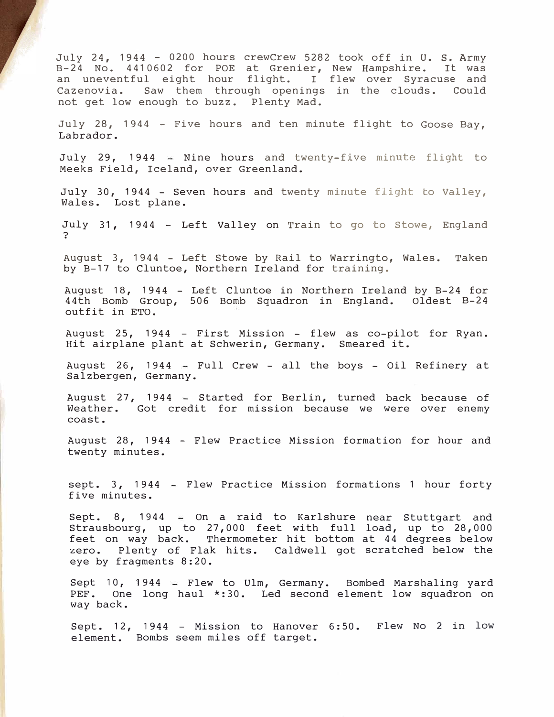July 24, 1944 - 0200 hours crewCrew 5282 took off in U. s. Army B-24 No. 4410602 for POE at Grenier, New Hampshire. It was an uneventful eight hour flight. I flew over Syracuse and<br>Cazenovia. Saw them through openings in the clouds. Could Saw them through openings in the clouds. Could not get low enough to buzz. Plenty Mad.

July 28, 1944 - Five hours and ten minute flight to Goose Bay, Labrador.

July 29, 1944 - Nine hours and twenty-five minute flight to Meeks Field, Iceland, over Greenland.

July 30, 1944 - Seven hours and twenty minute flight to Valley, Wales. Lost plane.

July 31, 1944 - Left Valley on Train to go to Stowe, England ?

August 3, 1944 - Left Stowe by Rail to Warringto, Wales. Taken by B-17 to Cluntoe, Northern Ireland for training.

August 18, 1944 - Left Cluntoe in Northern Ireland by B-24 for 44th Bomb Group, 506 Bomb Squadron in England. Oldest B-24 outfit in ETO.

August 25, 1944 - First Mission - flew as co-pilot for Ryan. Hit airplane plant at Schwerin, Germany. Smeared it.

August 26, 1944 - Full Crew - all the boys - Oil Refinery at Salzbergen, Germany.

August 27, 1944 - Started for Berlin, turned back because of Weather. Got credit for mission because we were over enemy coast.

August 28, 1944 - Flew Practice Mission formation for hour and twenty minutes.

sept. 3, 1944 - Flew Practice Mission formations 1 hour forty five minutes.

Sept. 8, 1944 On a raid to Karlshure near Stuttgart and Strausbourg, up to 27,000 feet with full load, up to 28,000 feet on way back. Thermometer hit bottom at 44 degrees below zero. Plenty of Flak hits. Caldwell got scratched below the eye by fragments 8:20.

Sept 10, 1944 = Flew to Ulm, Germany. Bombed Marshaling yard PEF. One long haul \*:30. Led second element low squadron on way back.

Sept. 12, 1944 - Mission to Hanover 6:50. Flew No 2 in low element. Bombs seem miles off target.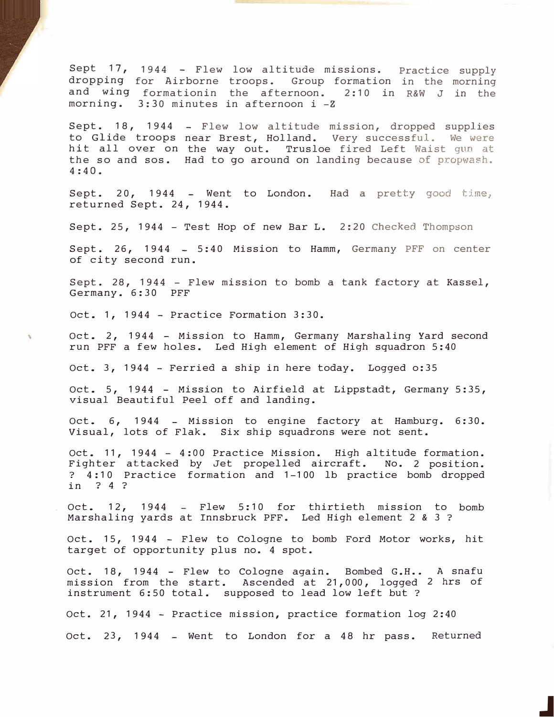Sept 17, 1944 F Flew low altitude missions. Practice supply dropping for Airborne troops. Group formation in the morning and wing formationin the afternoon. 2:10 in R&W J in the morning. 3:30 minutes in afternoon i -Z

Sept. 18, 1944 Flew low altitude mission, dropped supplies to Glide troops near Brest, Holland. Very successful. We were hit all over on the way out. Trusloe fired Left Waist gun at the so and sos. Had to go around on landing because of propwash. 4:40.

Sept. 20, 1944  $\equiv$  Went to London. Had a pretty good time, returned Sept. 24, 1944.

Sept. 25, 1944 - Test Hop of new Bar L. 2:20 Checked Thompson

Sept. 26, 1944  $-$  5:40 Mission to Hamm, Germany PFF on center of city second run.

Sept. 28, 1944 - Flew mission to bomb a tank factory at Kassel, Germany. 6:30 PFF

Oct. 1, 1944 - Practice Formation 3:30.

Oct. 2, 1944 - Mission to Hamm, Germany Marshaling Yard second run PFF a few holes. Led High element of High squadron 5:40

Oct. 3, 1944 - Ferried a ship in here today. Logged o:35

Oct. 5, 1944 - Mission to Airfield at Lippstadt, Germany 5:35, visual Beautiful Peel off and landing.

Oct. 6, 1944 - Mission to engine factory at Hamburg. 6:30. Visual, lots of Flak. Six ship squadrons were not sent.

Oct. 11, 1944 - 4:00 Practice Mission. High altitude formation. Fighter attacked by Jet propelled aircraft. No. 2 position. ? 4:10 Practice formation and 1-100 lb practice bomb dropped in ? 4 ?

Oct. 12, 1944 – Flew 5:10 for thirtieth mission to bomb Marshaling yards at Innsbruck PFF. Led High element 2 & 3?

Oct. 15, 1944 - Flew to Cologne to bomb Ford Motor works, hit target of opportunity plus no. 4 spot.

Oct. 18, 1944 – Flew to Cologne again. Bombed G.H.. A snafu mission from the start. Ascended at 21,000, logged 2 hrs of instrument 6:50 total. supposed to lead low left but?

Oct. 21, 1944 - Practice mission, practice formation log 2:40 Oct. 23, 1944 - Went to London for a 48 hr pass. Returned

J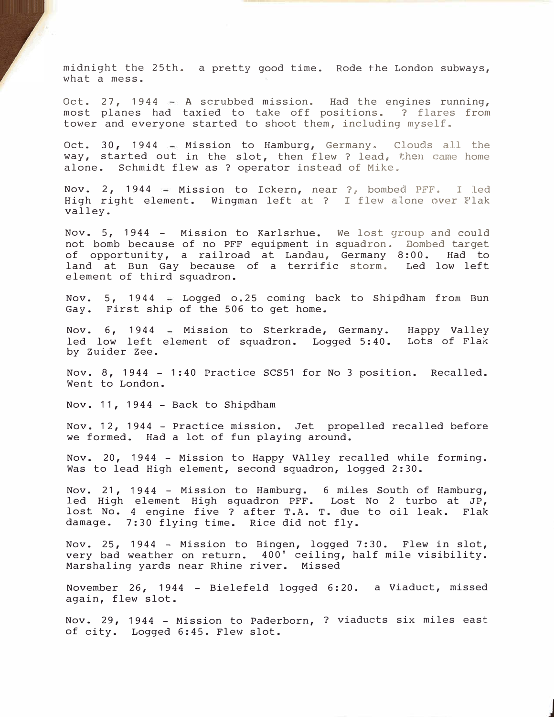midnight the 25th. a pretty good time. Rode the London subways, what a mess.

Oct. 27, 1944 - A scrubbed mission. Had the engines running, most planes had taxied to take off positions. ? flares from tower and everyone started to shoot them, including myself.

Oct. 30, 1944 - Mission to Hamburg, Germany. Clouds all the way, started out in the slot, then flew ? lead, then came home alone. Schmidt flew as ? operator instead of Mike.

Nov. 2, 1944 - Mission to Ickern, near ?, bombed PFF. I led High right element. Wingman left at ? I flew alone *over* Flak valley.

Nov. 5, 1944 - Mission to Karlsrhue. We lost group and could not bomb because of no PFF equipment in squadron. Bombed target of opportunity, a railroad at Landau, Germany 8:00. Had to land at Bun Gay because of a terrific storm. Led low left element of third squadron.

Nov. 5, 1944 – Logged o.25 coming back to Shipdham from Bun Gay. First ship of the 506 to get home.

Nov. 6, 1944 – Mission to Sterkrade, Germany. Happy Valley led low left element of squadron. Logged 5:40. Lots of Flak by Zuider Zee.

Nov. 8, 1944 - 1:40 Practice SCS51 for No 3 position. Recalled. Went to London.

Nov. 11, 1944 - Back to Shipdham

Nov. 12, 1944 - Practice mission. Jet propelled recalled before we formed. Had a lot of fun playing around.

Nov. 20, 1944 - Mission to Happy VAlley recalled while forming. Was to lead High element, second squadron, logged 2:30.

Nov. 21, 1944 - Mission to Hamburg. 6 miles South of Hamburg, led High element High squadron PFF. Lost No 2 turbo at JP, lost No. 4 engine five ? after T.A. T. due to oil leak. Flak damage. 7:30 flying time. Rice did not fly.

Nov. 25, 1944 - Mission to Bingen, logged 7:30. Flew in slot, very bad weather on return. 400' ceiling, half mile visibility. Marshaling yards near Rhine river. Missed

November 26, 1944 – Bielefeld logged 6:20. a Viaduct, missed again, flew slot.

Nov. 29, 1944 - Mission to Paderborn, ? viaducts six miles east of city. Logged 6:45. Flew slot.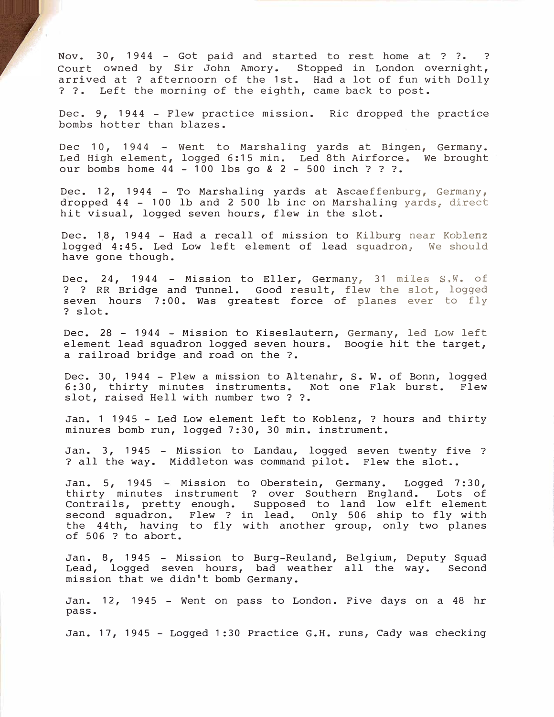Nov. 30, 1944 - Got paid and started to rest home at ? ?. ? Court owned by Sir John Amory. Stopped in London overnight, arrived at ? afternoorn of the 1st. Had a lot of fun with Dolly ? ?. Left the morning of the eighth, came back to post.

Dec. 9, 1944 - Flew practice mission. Ric dropped the practice bombs hotter than blazes.

Dec 10, 1944 - Went to Marshaling yards at Bingen, Germany. Led High element, logged 6:15 min. Led 8th Airforce. We brought our bombs home 44 - 100 lbs go & 2 - 500 inch ? ? ?.

Dec. 12, 1944 - To Marshaling yards at Ascaeffenburg, Germany, dropped  $44$  - 100 lb and 2 500 lb inc on Marshaling yards, direct hit visual, logged seven hours, flew in the slot.

Dec. 18, 1944 - Had a recall of mission to Kilburg near Koblenz logged 4:45. Led Low left element of lead squadron, We should have gone though.

Dec. 24, 1944 - Mission to Eller, Germany, 31 miles S. W. of ? ? RR Bridge and Tunnel. Good result, flew the slot, logged seven hours 7:00. Was greatest force of planes ever to fly ? slot.

Dec. 28 - 1944 - Mission to Kiseslautern, Germany, led Low left element lead squadron logged seven hours. Boogie hit the target, a railroad bridge.and road on the ?.

Dec. 30, 1944 - Flew a mission to Altenahr, s. W. of Bonn, logged 6:30, thirty minutes instruments. Not one Flak burst. Flew slot, raised Hell with number two ? ?.

Jan. 1 1945 - Led Low element left to Koblenz, ? hours and thirty minures bomb run, logged 7:30, 30 min. instrument.

Jan. 3, 1945 - Mission to Landau, logged seven twenty five ? **?** all the way. Middleton was command pilot. Flew the slot •.

Jan. 5, 1945 - Mission to Oberstein, Germany. Logged 7:30, thirty minutes instrument ? over Southern England. Lots of Contrails, pretty enough. Supposed to land low elft element second squadron. Flew ? in lead. Only 506 ship to fly with the 44th, having to fly with another group, only two planes of 506 ? to abort.

Jan. 8, 1945 - Mission to Burg-Reuland, Belgium, Deputy Squad Lead, logged seven hours, bad weather all the mission that we didn't bomb Germany. Second

Jan. 12, 1945 - Went on pass to London. Five days on a 48 hr pass.

Jan. 17, 1945 - Logged 1 :30 Practice G.H. runs, Cady was checking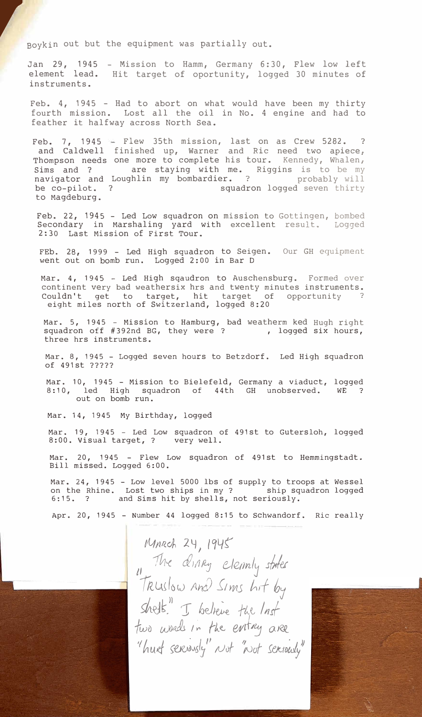**r** *r*  $\frac{1}{2}$ Boykin out but the equipment was partially out.

> Jan 29, 1945 element lead. instruments. - Mission to Hamm, Germany 6:30, Flew low left Hit target of oportunity, logged 30 minutes of

> Feb.  $4, 1945$  - Had to abort on what would have been my thirty fourth mission. Lost all the oil in No. 4 engine and had to feather it halfway across North Sea.

Feb. 7, 1945 and Caldwell Thompson needs Sims and ? navigator and be co-pilot. to Magdeburg. Flew 35th mission, last on as Crew 5282. ? finished up, Warner and Ric need two apiece, one more to complete his tour. Kennedy, Whalen, are staying with me. Riggins is to be my Loughlin my bombardier. ? Probably will ? squadron logged seven thirty

Feb. 22, 1945 - Led Low squadron on mission to Gottingen, bombed Secondary in Marshaling yard with excellent result. Logged 2:30 Last Mission of First Tour.

FEb. 28, 1999 - Led High squadron to Seigen. Our GH equipment went out on bomb run. Logged 2:00 in Bar D

Mar. 4, 1945 - Led High sqaudron to Auschensburg. Formed over continent very bad weathersix hrs and twenty minutes instruments. Couldn't get to target, hit target of opportunity ? eight miles north of Switzerland, logged 8:20

Mar. 5, 1945 - Mission to Hamburg, bad weatherm ked Hugh right squadron off #392nd BG, they were ? , logged six hours, three hrs instruments.

Mar. 8, 1945 - Logged seven hours to Betzdorf. Led High squadron of 491st ?????

Mar. 10, 1945 - Mission to Bielefeld, Germany a viaduct, logged 8:10, led High squadron of 44th GH unobserved. WE ? out on bomb run.

Mar. 14, 1945 My Birthday, logged

Mar. 19, 1945 - Led Low squadron of 491st to Gutersloh, logged 8:00. Visual target, ? very well.

Mar. 20, 1945 - Flew Low squadron of 491st to Hemmingstadt. Bill missed. Logged 6:00.

Mar. 24, 1945 - Low level 5000 lbs of supply to troops at Wessel on the Rhine. Lost two ships in my ? ship squadron logged 6:15. ? and Sims hit by shells, not seriously.

Apr. 20, 1945 - Number 44 logged 8:15 to Schwandorf. Ric really

MARCH 24, 1945 *11 The dinney elem*ly states  $T$ Ruslow and *Sims hit by* shelt." I believe the lnst *fwD* words in the entry are *1* hurt seriously" Not "Not seriously"